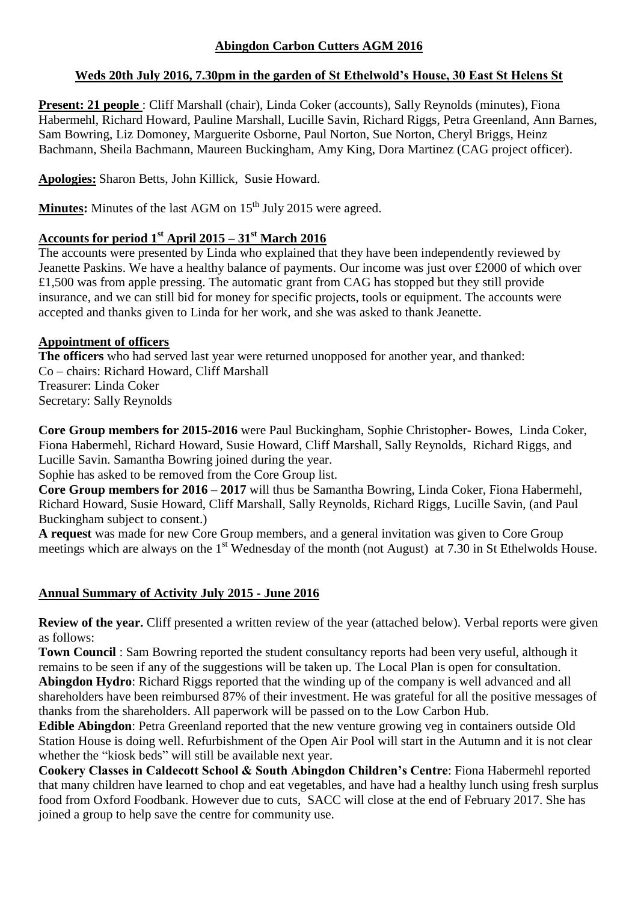### **Abingdon Carbon Cutters AGM 2016**

### **Weds 20th July 2016, 7.30pm in the garden of St Ethelwold's House, 30 East St Helens St**

**Present: 21 people** : Cliff Marshall (chair), Linda Coker (accounts), Sally Reynolds (minutes), Fiona Habermehl, Richard Howard, Pauline Marshall, Lucille Savin, Richard Riggs, Petra Greenland, Ann Barnes, Sam Bowring, Liz Domoney, Marguerite Osborne, Paul Norton, Sue Norton, Cheryl Briggs, Heinz Bachmann, Sheila Bachmann, Maureen Buckingham, Amy King, Dora Martinez (CAG project officer).

**Apologies:** Sharon Betts, John Killick, Susie Howard.

**Minutes:** Minutes of the last AGM on 15<sup>th</sup> July 2015 were agreed.

# **Accounts for period 1st April 2015 – 31st March 2016**

The accounts were presented by Linda who explained that they have been independently reviewed by Jeanette Paskins. We have a healthy balance of payments. Our income was just over £2000 of which over £1,500 was from apple pressing. The automatic grant from CAG has stopped but they still provide insurance, and we can still bid for money for specific projects, tools or equipment. The accounts were accepted and thanks given to Linda for her work, and she was asked to thank Jeanette.

### **Appointment of officers**

**The officers** who had served last year were returned unopposed for another year, and thanked: Co – chairs: Richard Howard, Cliff Marshall Treasurer: Linda Coker Secretary: Sally Reynolds

**Core Group members for 2015-2016** were Paul Buckingham, Sophie Christopher- Bowes, Linda Coker, Fiona Habermehl, Richard Howard, Susie Howard, Cliff Marshall, Sally Reynolds, Richard Riggs, and Lucille Savin. Samantha Bowring joined during the year.

Sophie has asked to be removed from the Core Group list.

**Core Group members for 2016 – 2017** will thus be Samantha Bowring, Linda Coker, Fiona Habermehl, Richard Howard, Susie Howard, Cliff Marshall, Sally Reynolds, Richard Riggs, Lucille Savin, (and Paul Buckingham subject to consent.)

**A request** was made for new Core Group members, and a general invitation was given to Core Group meetings which are always on the 1<sup>st</sup> Wednesday of the month (not August) at 7.30 in St Ethelwolds House.

# **Annual Summary of Activity July 2015 - June 2016**

**Review of the year.** Cliff presented a written review of the year (attached below). Verbal reports were given as follows:

**Town Council** : Sam Bowring reported the student consultancy reports had been very useful, although it remains to be seen if any of the suggestions will be taken up. The Local Plan is open for consultation. **Abingdon Hydro**: Richard Riggs reported that the winding up of the company is well advanced and all shareholders have been reimbursed 87% of their investment. He was grateful for all the positive messages of thanks from the shareholders. All paperwork will be passed on to the Low Carbon Hub.

**Edible Abingdon**: Petra Greenland reported that the new venture growing veg in containers outside Old Station House is doing well. Refurbishment of the Open Air Pool will start in the Autumn and it is not clear whether the "kiosk beds" will still be available next year.

**Cookery Classes in Caldecott School & South Abingdon Children's Centre**: Fiona Habermehl reported that many children have learned to chop and eat vegetables, and have had a healthy lunch using fresh surplus food from Oxford Foodbank. However due to cuts, SACC will close at the end of February 2017. She has joined a group to help save the centre for community use.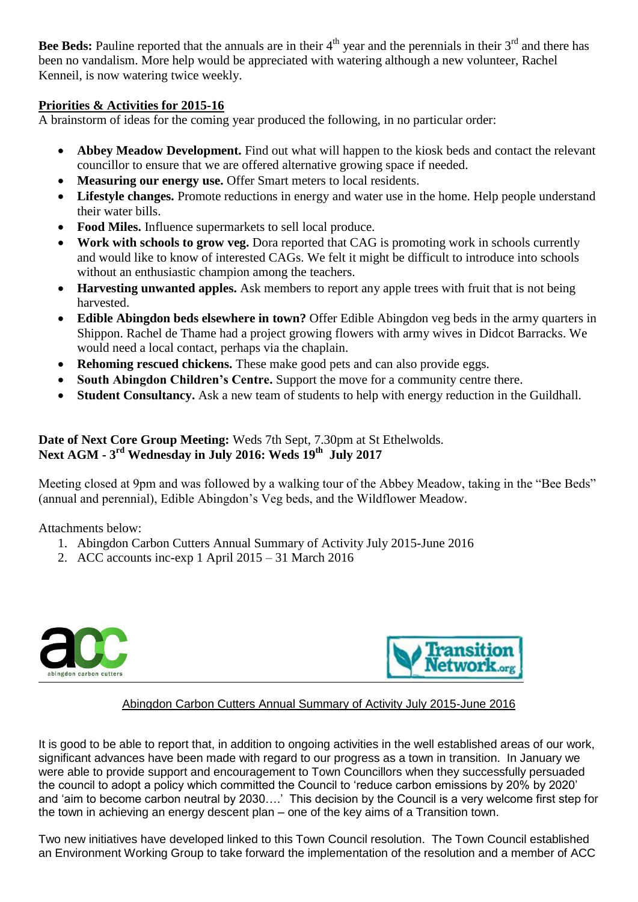**Bee Beds:** Pauline reported that the annuals are in their  $4<sup>th</sup>$  year and the perennials in their  $3<sup>rd</sup>$  and there has been no vandalism. More help would be appreciated with watering although a new volunteer, Rachel Kenneil, is now watering twice weekly.

#### **Priorities & Activities for 2015-16**

A brainstorm of ideas for the coming year produced the following, in no particular order:

- **Abbey Meadow Development.** Find out what will happen to the kiosk beds and contact the relevant councillor to ensure that we are offered alternative growing space if needed.
- **Measuring our energy use.** Offer Smart meters to local residents.
- **Lifestyle changes.** Promote reductions in energy and water use in the home. Help people understand their water bills.
- **Food Miles.** Influence supermarkets to sell local produce.
- **Work with schools to grow veg.** Dora reported that CAG is promoting work in schools currently and would like to know of interested CAGs. We felt it might be difficult to introduce into schools without an enthusiastic champion among the teachers.
- **Harvesting unwanted apples.** Ask members to report any apple trees with fruit that is not being harvested.
- **Edible Abingdon beds elsewhere in town?** Offer Edible Abingdon veg beds in the army quarters in Shippon. Rachel de Thame had a project growing flowers with army wives in Didcot Barracks. We would need a local contact, perhaps via the chaplain.
- **Rehoming rescued chickens.** These make good pets and can also provide eggs.
- **South Abingdon Children's Centre.** Support the move for a community centre there.
- **Student Consultancy.** Ask a new team of students to help with energy reduction in the Guildhall.

#### **Date of Next Core Group Meeting:** Weds 7th Sept, 7.30pm at St Ethelwolds. **Next AGM - 3 rd Wednesday in July 2016: Weds 19th July 2017**

Meeting closed at 9pm and was followed by a walking tour of the Abbey Meadow, taking in the "Bee Beds" (annual and perennial), Edible Abingdon's Veg beds, and the Wildflower Meadow.

Attachments below:

- 1. Abingdon Carbon Cutters Annual Summary of Activity July 2015-June 2016
- 2. ACC accounts inc-exp 1 April 2015 31 March 2016





#### Abingdon Carbon Cutters Annual Summary of Activity July 2015-June 2016

It is good to be able to report that, in addition to ongoing activities in the well established areas of our work, significant advances have been made with regard to our progress as a town in transition. In January we were able to provide support and encouragement to Town Councillors when they successfully persuaded the council to adopt a policy which committed the Council to 'reduce carbon emissions by 20% by 2020' and 'aim to become carbon neutral by 2030….' This decision by the Council is a very welcome first step for the town in achieving an energy descent plan – one of the key aims of a Transition town.

Two new initiatives have developed linked to this Town Council resolution. The Town Council established an Environment Working Group to take forward the implementation of the resolution and a member of ACC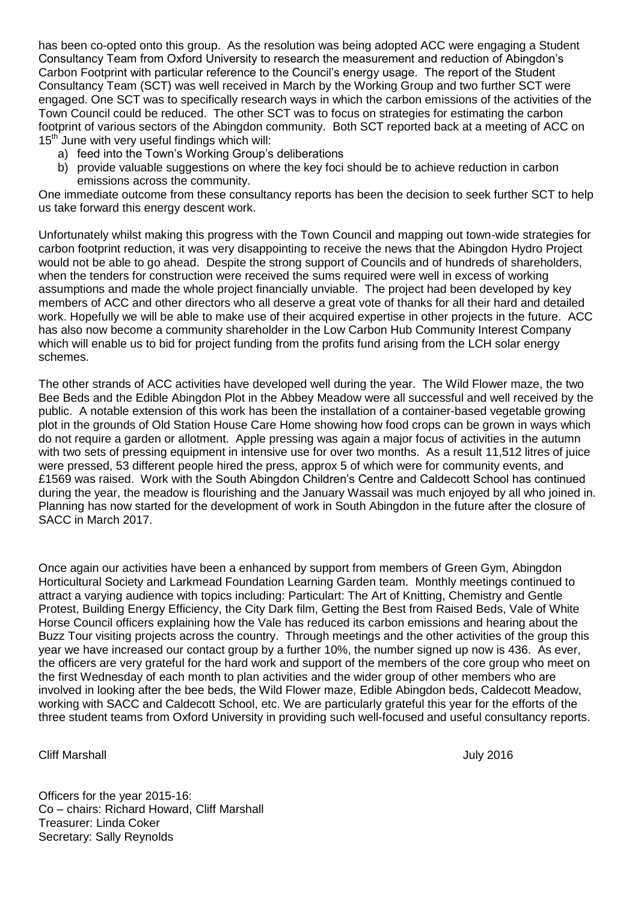has been co-opted onto this group. As the resolution was being adopted ACC were engaging a Student Consultancy Team from Oxford University to research the measurement and reduction of Abingdon's Carbon Footprint with particular reference to the Council's energy usage. The report of the Student Consultancy Team (SCT) was well received in March by the Working Group and two further SCT were engaged. One SCT was to specifically research ways in which the carbon emissions of the activities of the Town Council could be reduced. The other SCT was to focus on strategies for estimating the carbon footprint of various sectors of the Abingdon community. Both SCT reported back at a meeting of ACC on  $15<sup>th</sup>$  June with very useful findings which will:

- a) feed into the Town's Working Group's deliberations
- b) provide valuable suggestions on where the key foci should be to achieve reduction in carbon emissions across the community.

One immediate outcome from these consultancy reports has been the decision to seek further SCT to help us take forward this energy descent work.

Unfortunately whilst making this progress with the Town Council and mapping out town-wide strategies for carbon footprint reduction, it was very disappointing to receive the news that the Abingdon Hydro Project would not be able to go ahead. Despite the strong support of Councils and of hundreds of shareholders, when the tenders for construction were received the sums required were well in excess of working assumptions and made the whole project financially unviable. The project had been developed by key members of ACC and other directors who all deserve a great vote of thanks for all their hard and detailed work. Hopefully we will be able to make use of their acquired expertise in other projects in the future. ACC has also now become a community shareholder in the Low Carbon Hub Community Interest Company which will enable us to bid for project funding from the profits fund arising from the LCH solar energy schemes.

The other strands of ACC activities have developed well during the year. The Wild Flower maze, the two Bee Beds and the Edible Abingdon Plot in the Abbey Meadow were all successful and well received by the public. A notable extension of this work has been the installation of a container-based vegetable growing plot in the grounds of Old Station House Care Home showing how food crops can be grown in ways which do not require a garden or allotment. Apple pressing was again a major focus of activities in the autumn with two sets of pressing equipment in intensive use for over two months. As a result 11,512 litres of juice were pressed, 53 different people hired the press, approx 5 of which were for community events, and £1569 was raised. Work with the South Abingdon Children's Centre and Caldecott School has continued during the year, the meadow is flourishing and the January Wassail was much enjoyed by all who joined in. Planning has now started for the development of work in South Abingdon in the future after the closure of SACC in March 2017.

Once again our activities have been a enhanced by support from members of Green Gym, Abingdon Horticultural Society and Larkmead Foundation Learning Garden team. Monthly meetings continued to attract a varying audience with topics including: Particulart: The Art of Knitting, Chemistry and Gentle Protest, Building Energy Efficiency, the City Dark film, Getting the Best from Raised Beds, Vale of White Horse Council officers explaining how the Vale has reduced its carbon emissions and hearing about the Buzz Tour visiting projects across the country. Through meetings and the other activities of the group this year we have increased our contact group by a further 10%, the number signed up now is 436. As ever, the officers are very grateful for the hard work and support of the members of the core group who meet on the first Wednesday of each month to plan activities and the wider group of other members who are involved in looking after the bee beds, the Wild Flower maze, Edible Abingdon beds, Caldecott Meadow, working with SACC and Caldecott School, etc. We are particularly grateful this year for the efforts of the three student teams from Oxford University in providing such well-focused and useful consultancy reports.

Cliff Marshall July 2016

Officers for the year 2015-16: Co – chairs: Richard Howard, Cliff Marshall Treasurer: Linda Coker Secretary: Sally Reynolds